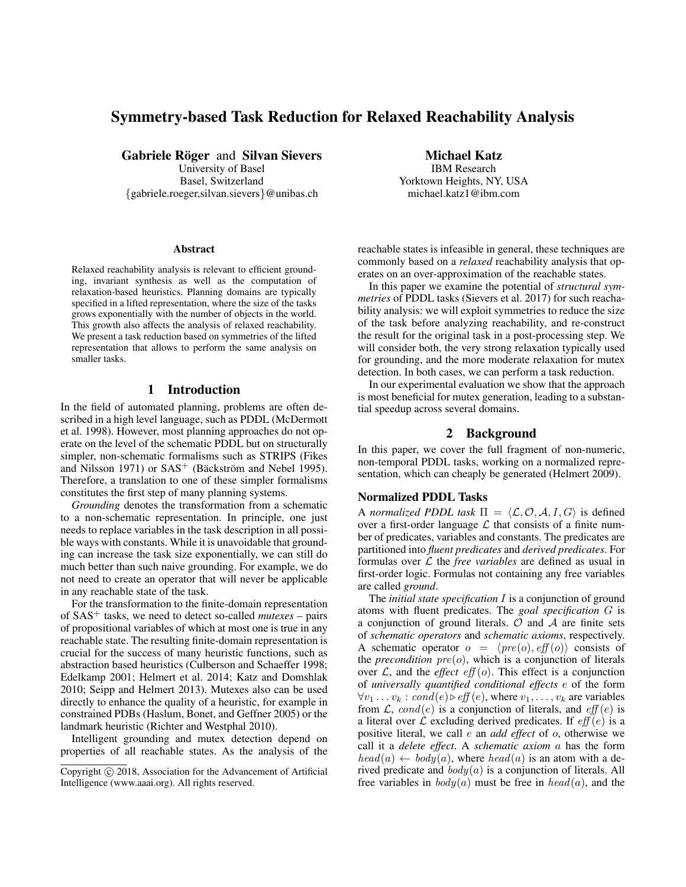# Symmetry-based Task Reduction for Relaxed Reachability Analysis

Gabriele Röger and Silvan Sievers

University of Basel Basel, Switzerland {gabriele.roeger,silvan.sievers}@unibas.ch

#### Abstract

Relaxed reachability analysis is relevant to efficient grounding, invariant synthesis as well as the computation of relaxation-based heuristics. Planning domains are typically specified in a lifted representation, where the size of the tasks grows exponentially with the number of objects in the world. This growth also affects the analysis of relaxed reachability. We present a task reduction based on symmetries of the lifted representation that allows to perform the same analysis on smaller tasks.

## 1 Introduction

In the field of automated planning, problems are often described in a high level language, such as PDDL (McDermott et al. 1998). However, most planning approaches do not operate on the level of the schematic PDDL but on structurally simpler, non-schematic formalisms such as STRIPS (Fikes and Nilsson 1971) or  $SAS^+$  (Bäckström and Nebel 1995). Therefore, a translation to one of these simpler formalisms constitutes the first step of many planning systems.

*Grounding* denotes the transformation from a schematic to a non-schematic representation. In principle, one just needs to replace variables in the task description in all possible ways with constants. While it is unavoidable that grounding can increase the task size exponentially, we can still do much better than such naive grounding. For example, we do not need to create an operator that will never be applicable in any reachable state of the task.

For the transformation to the finite-domain representation of SAS<sup>+</sup> tasks, we need to detect so-called *mutexes* – pairs of propositional variables of which at most one is true in any reachable state. The resulting finite-domain representation is crucial for the success of many heuristic functions, such as abstraction based heuristics (Culberson and Schaeffer 1998; Edelkamp 2001; Helmert et al. 2014; Katz and Domshlak 2010; Seipp and Helmert 2013). Mutexes also can be used directly to enhance the quality of a heuristic, for example in constrained PDBs (Haslum, Bonet, and Geffner 2005) or the landmark heuristic (Richter and Westphal 2010).

Intelligent grounding and mutex detection depend on properties of all reachable states. As the analysis of the Michael Katz IBM Research

Yorktown Heights, NY, USA michael.katz1@ibm.com

reachable states is infeasible in general, these techniques are commonly based on a *relaxed* reachability analysis that operates on an over-approximation of the reachable states.

In this paper we examine the potential of *structural symmetries* of PDDL tasks (Sievers et al. 2017) for such reachability analysis: we will exploit symmetries to reduce the size of the task before analyzing reachability, and re-construct the result for the original task in a post-processing step. We will consider both, the very strong relaxation typically used for grounding, and the more moderate relaxation for mutex detection. In both cases, we can perform a task reduction.

In our experimental evaluation we show that the approach is most beneficial for mutex generation, leading to a substantial speedup across several domains.

## 2 Background

In this paper, we cover the full fragment of non-numeric, non-temporal PDDL tasks, working on a normalized representation, which can cheaply be generated (Helmert 2009).

#### Normalized PDDL Tasks

A *normalized PDDL task*  $\Pi = \langle \mathcal{L}, \mathcal{O}, \mathcal{A}, I, G \rangle$  is defined over a first-order language  $\mathcal L$  that consists of a finite number of predicates, variables and constants. The predicates are partitioned into *fluent predicates* and *derived predicates*. For formulas over L the *free variables* are defined as usual in first-order logic. Formulas not containing any free variables are called *ground*.

The *initial state specification* I is a conjunction of ground atoms with fluent predicates. The *goal specification* G is a conjunction of ground literals.  $O$  and  $A$  are finite sets of *schematic operators* and *schematic axioms*, respectively. A schematic operator  $o = \langle pre(o), eff(o) \rangle$  consists of the *precondition*  $pre(o)$ , which is a conjunction of literals over  $\mathcal{L}$ , and the *effect* eff (o). This effect is a conjunction of *universally quantified conditional effects* e of the form  $\forall v_1 \dots v_k : cond(e) \triangleright eff(e)$ , where  $v_1, \dots, v_k$  are variables from  $\mathcal{L}$ , cond(e) is a conjunction of literals, and eff(e) is a literal over  $\mathcal L$  excluding derived predicates. If  $\text{eff}(e)$  is a positive literal, we call e an *add effect* of o, otherwise we call it a *delete effect*. A *schematic axiom* a has the form  $head(a) \leftarrow body(a)$ , where  $head(a)$  is an atom with a derived predicate and  $body(a)$  is a conjunction of literals. All free variables in  $body(a)$  must be free in  $head(a)$ , and the

Copyright  $\odot$  2018, Association for the Advancement of Artificial Intelligence (www.aaai.org). All rights reserved.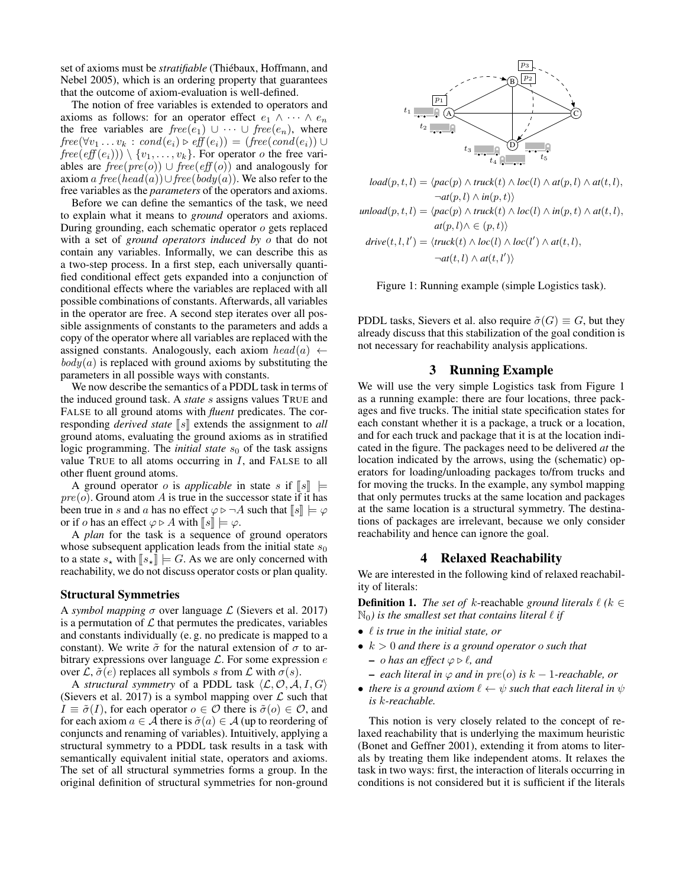set of axioms must be *stratifiable* (Thiébaux, Hoffmann, and Nebel 2005), which is an ordering property that guarantees that the outcome of axiom-evaluation is well-defined.

The notion of free variables is extended to operators and axioms as follows: for an operator effect  $e_1 \wedge \cdots \wedge e_n$ the free variables are  $free(e_1) \cup \cdots \cup free(e_n)$ , where  $free(\forall v_1 \ldots v_k : cond(e_i) \triangleright eff(e_i)) = (free(cond(e_i)) \cup$  $free(eff(e_i))) \setminus \{v_1, \ldots, v_k\}$ . For operator *o* the free variables are  $free(pre(o)) \cup free(eff(o))$  and analogously for axiom a free(head(a))∪free(body(a)). We also refer to the free variables as the *parameters* of the operators and axioms.

Before we can define the semantics of the task, we need to explain what it means to *ground* operators and axioms. During grounding, each schematic operator o gets replaced with a set of *ground operators induced by* o that do not contain any variables. Informally, we can describe this as a two-step process. In a first step, each universally quantified conditional effect gets expanded into a conjunction of conditional effects where the variables are replaced with all possible combinations of constants. Afterwards, all variables in the operator are free. A second step iterates over all possible assignments of constants to the parameters and adds a copy of the operator where all variables are replaced with the assigned constants. Analogously, each axiom  $head(a) \leftarrow$  $body(a)$  is replaced with ground axioms by substituting the parameters in all possible ways with constants.

We now describe the semantics of a PDDL task in terms of the induced ground task. A *state* s assigns values TRUE and FALSE to all ground atoms with *fluent* predicates. The corresponding *derived state*  $\llbracket s \rrbracket$  extends the assignment to *all* ground atoms, evaluating the ground axioms as in stratified logic programming. The *initial state*  $s<sub>0</sub>$  of the task assigns value TRUE to all atoms occurring in  $I$ , and FALSE to all other fluent ground atoms.

A ground operator *o* is *applicable* in state *s* if  $\llbracket s \rrbracket$   $\models$  $pre(o)$ . Ground atom A is true in the successor state if it has been true in s and a has no effect  $\varphi \triangleright \neg A$  such that  $\llbracket s \rrbracket \models \varphi$ or if *o* has an effect  $\varphi \triangleright A$  with  $\llbracket s \rrbracket \models \varphi$ .

A *plan* for the task is a sequence of ground operators whose subsequent application leads from the initial state  $s_0$ to a state  $s_{\star}$  with  $\llbracket s_{\star} \rrbracket \models G$ . As we are only concerned with reachability, we do not discuss operator costs or plan quality.

#### Structural Symmetries

A *symbol mapping*  $\sigma$  over language  $\mathcal{L}$  (Sievers et al. 2017) is a permutation of  $\mathcal L$  that permutes the predicates, variables and constants individually (e. g. no predicate is mapped to a constant). We write  $\tilde{\sigma}$  for the natural extension of  $\sigma$  to arbitrary expressions over language  $\mathcal{L}$ . For some expression  $e$ over  $\mathcal{L}, \tilde{\sigma}(e)$  replaces all symbols s from  $\mathcal{L}$  with  $\sigma(s)$ .

A *structural symmetry* of a PDDL task  $\langle \mathcal{L}, \mathcal{O}, \mathcal{A}, I, G \rangle$ (Sievers et al. 2017) is a symbol mapping over  $\mathcal L$  such that  $I \equiv \tilde{\sigma}(I)$ , for each operator  $o \in \mathcal{O}$  there is  $\tilde{\sigma}(o) \in \mathcal{O}$ , and for each axiom  $a \in \mathcal{A}$  there is  $\tilde{\sigma}(a) \in \mathcal{A}$  (up to reordering of conjuncts and renaming of variables). Intuitively, applying a structural symmetry to a PDDL task results in a task with semantically equivalent initial state, operators and axioms. The set of all structural symmetries forms a group. In the original definition of structural symmetries for non-ground



$$
load(p, t, l) = \langle pac(p) \land truck(t) \land loc(l) \land at(p, l) \land at(t, l),\n\neg at(p, l) \land in(p, t) \rangle
$$
  
\n
$$
unload(p, t, l) = \langle pac(p) \land truck(t) \land loc(l) \land in(p, t) \land at(t, l),\n\nat(p, l) \land \in (p, t) \rangle
$$
  
\n
$$
drive(t, l, l') = \langle truck(t) \land loc(l) \land loc(l') \land at(t, l),\n\neg at(t, l) \land at(t, l') \rangle
$$

Figure 1: Running example (simple Logistics task).

PDDL tasks, Sievers et al. also require  $\tilde{\sigma}(G) \equiv G$ , but they already discuss that this stabilization of the goal condition is not necessary for reachability analysis applications.

## 3 Running Example

We will use the very simple Logistics task from Figure 1 as a running example: there are four locations, three packages and five trucks. The initial state specification states for each constant whether it is a package, a truck or a location, and for each truck and package that it is at the location indicated in the figure. The packages need to be delivered *at* the location indicated by the arrows, using the (schematic) operators for loading/unloading packages to/from trucks and for moving the trucks. In the example, any symbol mapping that only permutes trucks at the same location and packages at the same location is a structural symmetry. The destinations of packages are irrelevant, because we only consider reachability and hence can ignore the goal.

#### 4 Relaxed Reachability

We are interested in the following kind of relaxed reachability of literals:

**Definition 1.** *The set of*  $k$ -reachable *ground literals*  $\ell$  ( $k \in$  $\mathbb{N}_0$ *) is the smallest set that contains literal*  $\ell$  *if* 

- $\ell$  *is true in the initial state, or*
- k > 0 *and there is a ground operator* o *such that*  $-$  *o* has an effect  $\varphi \triangleright \ell$ , and
	- $−$  *each literal in*  $\varphi$  *and in*  $pre(o)$  *is*  $k − 1$ *-reachable, or*
- *there is a ground axiom*  $\ell \leftarrow \psi$  *such that each literal in*  $\psi$ *is* k*-reachable.*

This notion is very closely related to the concept of relaxed reachability that is underlying the maximum heuristic (Bonet and Geffner 2001), extending it from atoms to literals by treating them like independent atoms. It relaxes the task in two ways: first, the interaction of literals occurring in conditions is not considered but it is sufficient if the literals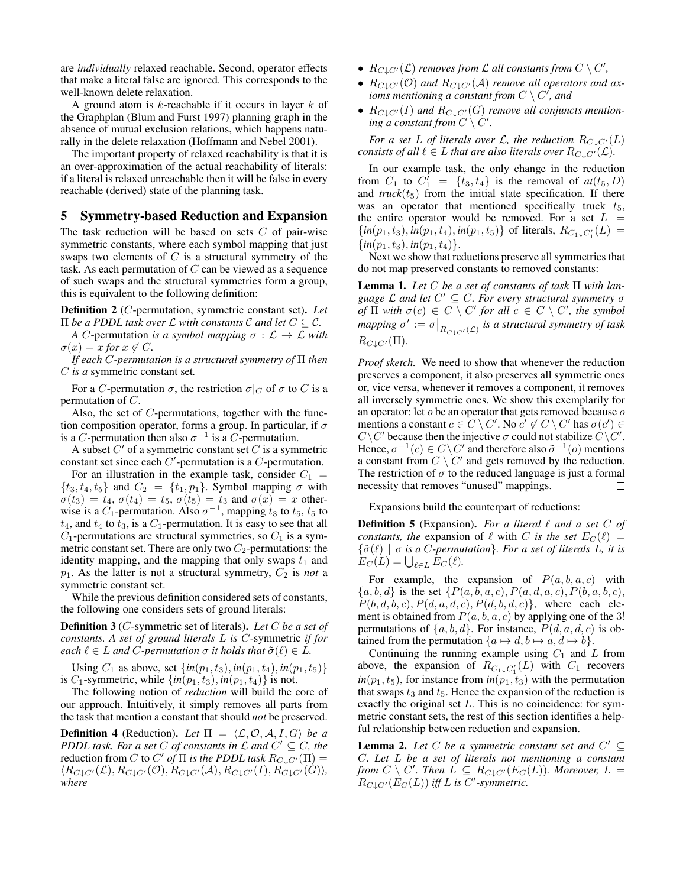are *individually* relaxed reachable. Second, operator effects that make a literal false are ignored. This corresponds to the well-known delete relaxation.

A ground atom is  $k$ -reachable if it occurs in layer  $k$  of the Graphplan (Blum and Furst 1997) planning graph in the absence of mutual exclusion relations, which happens naturally in the delete relaxation (Hoffmann and Nebel 2001).

The important property of relaxed reachability is that it is an over-approximation of the actual reachability of literals: if a literal is relaxed unreachable then it will be false in every reachable (derived) state of the planning task.

## 5 Symmetry-based Reduction and Expansion

The task reduction will be based on sets  $C$  of pair-wise symmetric constants, where each symbol mapping that just swaps two elements of  $C$  is a structural symmetry of the task. As each permutation of  $C$  can be viewed as a sequence of such swaps and the structural symmetries form a group, this is equivalent to the following definition:

Definition 2 (C-permutation, symmetric constant set). *Let*  $\Pi$  *be a PDDL task over*  $\mathcal L$  *with constants*  $\mathcal C$  *and let*  $C \subseteq \mathcal C$ *.* 

*A* C-permutation *is a symbol mapping*  $\sigma : \mathcal{L} \to \mathcal{L}$  *with*  $\sigma(x) = x$  *for*  $x \notin C$ *.* 

*If each* C*-permutation is a structural symmetry of* Π *then* C *is a* symmetric constant set*.*

For a C-permutation  $\sigma$ , the restriction  $\sigma|_C$  of  $\sigma$  to C is a permutation of C.

Also, the set of C-permutations, together with the function composition operator, forms a group. In particular, if  $\sigma$ is a C-permutation then also  $\sigma^{-1}$  is a C-permutation.

A subset  $C'$  of a symmetric constant set  $C$  is a symmetric constant set since each  $C'$ -permutation is a  $C$ -permutation.

For an illustration in the example task, consider  $C_1$  =  $\{t_3, t_4, t_5\}$  and  $C_2 = \{t_1, p_1\}$ . Symbol mapping  $\sigma$  with  $\sigma(t_3) = t_4$ ,  $\sigma(t_4) = t_5$ ,  $\sigma(t_5) = t_3$  and  $\sigma(x) = x$  otherwise is a  $C_1$ -permutation. Also  $\sigma^{-1}$ , mapping  $t_3$  to  $t_5$ ,  $t_5$  to  $t_4$ , and  $t_4$  to  $t_3$ , is a  $C_1$ -permutation. It is easy to see that all  $C_1$ -permutations are structural symmetries, so  $C_1$  is a symmetric constant set. There are only two  $C_2$ -permutations: the identity mapping, and the mapping that only swaps  $t_1$  and  $p_1$ . As the latter is not a structural symmetry,  $C_2$  is *not* a symmetric constant set.

While the previous definition considered sets of constants, the following one considers sets of ground literals:

Definition 3 (C-symmetric set of literals). *Let* C *be a set of constants. A set of ground literals* L *is* C-symmetric *if for each*  $\ell \in L$  *and*  $C$ *-permutation*  $\sigma$  *it holds that*  $\tilde{\sigma}(\ell) \in L$ *.* 

Using  $C_1$  as above, set  $\{in(p_1, t_3), in(p_1, t_4), in(p_1, t_5)\}$ is  $C_1$ -symmetric, while  $\{in(p_1, t_3), in(p_1, t_4)\}$  is not.

The following notion of *reduction* will build the core of our approach. Intuitively, it simply removes all parts from the task that mention a constant that should *not* be preserved.

**Definition 4** (Reduction). Let  $\Pi = \langle \mathcal{L}, \mathcal{O}, \mathcal{A}, I, G \rangle$  be a *PDDL task. For a set*  $C$  *of constants in*  $\mathcal L$  *and*  $C' \subseteq C$ *, the* reduction from *C* to *C'* of  $\Pi$  *is the PDDL task*  $R_{C\downarrow C'}(\Pi)$  =  $\langle R_{C\perp C'}(\mathcal{L}), R_{C\perp C'}(\mathcal{O}), R_{C\perp C'}(\mathcal{A}), R_{C\perp C'}(I), R_{C\perp C'}(G)\rangle$ *where*

- $R_{C\downarrow C'}(\mathcal{L})$  *removes from*  $\mathcal L$  all constants from  $C \setminus C'$ ,
- $R_{C\downarrow C'}(\mathcal{O})$  and  $R_{C\downarrow C'}(\mathcal{A})$  *remove all operators and ax*ioms mentioning a constant from  $C \setminus C'$ , and
- $R_{C\downarrow C'}(I)$  and  $R_{C\downarrow C'}(G)$  *remove all conjuncts mention*ing a constant from  $C \setminus C'$ .

*For a set* L *of literals over* L, the reduction  $R_{C\downarrow C'}(L)$ *consists of all*  $\ell \in L$  *that are also literals over*  $R_{CLC'}(\mathcal{L})$ *.* 

In our example task, the only change in the reduction from  $C_1$  to  $C_1' = \{t_3, t_4\}$  is the removal of  $at(t_5, D)$ and  $\text{truck}(t_5)$  from the initial state specification. If there was an operator that mentioned specifically truck  $t_5$ , the entire operator would be removed. For a set  $L =$  $\{in(p_1, t_3), in(p_1, t_4), in(p_1, t_5)\}$  of literals,  $R_{C_1 \downarrow C_1'}(L) =$  $\{in(p_1, t_3), in(p_1, t_4)\}.$ 

Next we show that reductions preserve all symmetries that do not map preserved constants to removed constants:

Lemma 1. *Let* C *be a set of constants of task* Π *with language* L *and let* C <sup>0</sup> ⊆ C*. For every structural symmetry* σ *of*  $\Pi$  *with*  $\sigma(c) \in C \setminus C'$  *for all*  $c \in C \setminus C'$ *, the symbol* mapping  $\sigma' := \sigma \big|_{R_{C \downarrow C'}(\mathcal{L})}$  is a structural symmetry of task  $R_{C\perp C'}(\Pi)$ .

*Proof sketch.* We need to show that whenever the reduction preserves a component, it also preserves all symmetric ones or, vice versa, whenever it removes a component, it removes all inversely symmetric ones. We show this exemplarily for an operator: let  $o$  be an operator that gets removed because  $o$ mentions a constant  $c \in C \setminus C'$ . No  $c' \notin C \setminus C'$  has  $\sigma(c') \in$  $C\setminus C'$  because then the injective  $\sigma$  could not stabilize  $\hat{C}\setminus C'$ . Hence,  $\sigma^{-1}(c) \in C \backslash C'$  and therefore also  $\tilde{\sigma}^{-1}(o)$  mentions a constant from  $C \setminus C'$  and gets removed by the reduction. The restriction of  $\sigma$  to the reduced language is just a formal necessity that removes "unused" mappings.  $\Box$ 

Expansions build the counterpart of reductions:

**Definition 5** (Expansion). For a literal  $\ell$  and a set C of *constants, the* expansion of  $\ell$  with C *is the set*  $E_C(\ell)$  =  ${\lbrace \tilde{\sigma}(\ell) \mid \sigma \text{ is a } C\text{-permutation} \rbrace}$ *. For a set of literals L, it is*  $E_C(L) = \bigcup_{\ell \in L} E_C(\ell).$ 

For example, the expansion of  $P(a, b, a, c)$  with  ${a, b, d}$  is the set  ${P(a, b, a, c), P(a, d, a, c), P(b, a, b, c)}$ ,  $P(b, d, b, c), P(d, a, d, c), P(d, b, d, c)$ , where each element is obtained from  $P(a, b, a, c)$  by applying one of the 3! permutations of  $\{a, b, d\}$ . For instance,  $P(d, a, d, c)$  is obtained from the permutation  $\{a \mapsto d, b \mapsto a, d \mapsto b\}.$ 

Continuing the running example using  $C_1$  and  $L$  from above, the expansion of  $R_{C_1 \downarrow C'_1}(L)$  with  $C_1$  recovers  $in(p_1, t_5)$ , for instance from  $in(p_1, t_3)$  with the permutation that swaps  $t_3$  and  $t_5$ . Hence the expansion of the reduction is exactly the original set L. This is no coincidence: for symmetric constant sets, the rest of this section identifies a helpful relationship between reduction and expansion.

**Lemma 2.** Let C be a symmetric constant set and  $C' \subseteq$ C*. Let* L *be a set of literals not mentioning a constant from*  $C \setminus C'$ . Then  $\overline{L} \subseteq R_{C \downarrow C'}(E_C(L))$ . Moreover,  $L =$  $R_{C\downarrow C'}(E_C(L))$  iff L is C'-symmetric.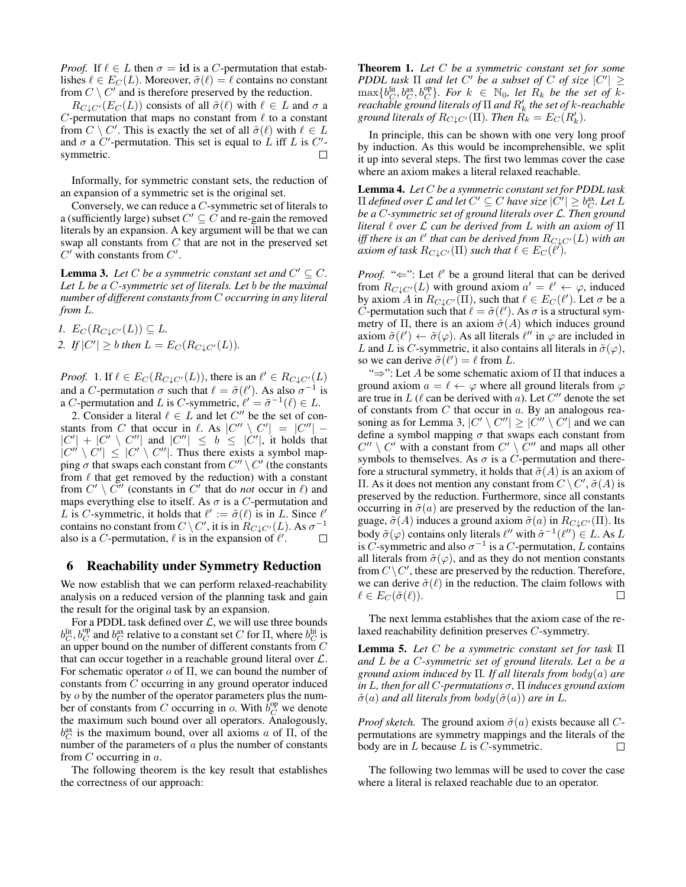*Proof.* If  $\ell \in L$  then  $\sigma = id$  is a C-permutation that establishes  $\ell \in E<sub>C</sub>(L)$ . Moreover,  $\tilde{\sigma}(\ell) = \ell$  contains no constant from  $C \setminus C'$  and is therefore preserved by the reduction.

 $R_{C\downarrow C'}(E_C(L))$  consists of all  $\tilde{\sigma}(\ell)$  with  $\ell \in L$  and  $\sigma$  a C-permutation that maps no constant from  $\ell$  to a constant from  $C \setminus C'$ . This is exactly the set of all  $\tilde{\sigma}(\ell)$  with  $\ell \in L$ and  $\sigma$  a C'-permutation. This set is equal to L iff L is C'symmetric.  $\Box$ 

Informally, for symmetric constant sets, the reduction of an expansion of a symmetric set is the original set.

Conversely, we can reduce a C-symmetric set of literals to a (sufficiently large) subset  $C' \subseteq C$  and re-gain the removed literals by an expansion. A key argument will be that we can swap all constants from C that are not in the preserved set  $C'$  with constants from  $C'$ .

**Lemma 3.** Let C be a symmetric constant set and  $C' \subseteq C$ . *Let* L *be a* C*-symmetric set of literals. Let* b *be the maximal number of different constants from* C *occurring in any literal from* L*.*

*1.*  $E_C(R_{C\downarrow C'}(L)) \subseteq L$ . 2. If  $|C'| \geq b$  then  $L = E_C(R_{C \downarrow C'}(L))$ .

*Proof.* 1. If  $\ell \in E_C(R_{C\downarrow C'}(L))$ , there is an  $\ell' \in R_{C\downarrow C'}(L)$ and a C-permutation  $\sigma$  such that  $\ell = \tilde{\sigma}(\ell')$ . As also  $\sigma^{-1}$  is a C-permutation and L is C-symmetric,  $\ell' = \tilde{\sigma}^{-1}(\ell) \in L$ .

2. Consider a literal  $\ell \in L$  and let  $C''$  be the set of constants from C that occur in  $\ell$ . As  $|C'' \setminus C'| = |C''|$  –  $|C'| + |C' \setminus C''|$  and  $|C''| \leq b \leq |C'|$ , it holds that  $|C'' \setminus C'| \leq |C' \setminus C''|$ . Thus there exists a symbol mapping  $\sigma$  that swaps each constant from  $C'' \setminus C'$  (the constants from  $\ell$  that get removed by the reduction) with a constant from  $C' \setminus C''$  (constants in  $C'$  that do *not* occur in  $\ell$ ) and maps everything else to itself. As  $\sigma$  is a C-permutation and L is C-symmetric, it holds that  $\ell' := \tilde{\sigma}(\ell)$  is in L. Since  $\ell'$ contains no constant from  $C \setminus C'$ , it is in  $\overline{R}_{C \downarrow C'}(L)$ . As  $\sigma^{-1}$ also is a C-permutation,  $\ell$  is in the expansion of  $\ell'$ .  $\Box$ 

### 6 Reachability under Symmetry Reduction

We now establish that we can perform relaxed-reachability analysis on a reduced version of the planning task and gain the result for the original task by an expansion.

For a PDDL task defined over  $\mathcal{L}$ , we will use three bounds  $b_C^{\text{lit}}, b_C^{\text{op}}$  and  $b_C^{\text{ax}}$  relative to a constant set C for  $\Pi$ , where  $b_C^{\text{lit}}$  is an upper bound on the number of different constants from  $C$ that can occur together in a reachable ground literal over  $\mathcal{L}$ . For schematic operator  $\sigma$  of  $\Pi$ , we can bound the number of constants from C occurring in any ground operator induced by *o* by the number of the operator parameters plus the number of constants from C occurring in o. With  $b_C^{\text{op}}$  we denote the maximum such bound over all operators. Analogously,  $b_C^{\text{ax}}$  is the maximum bound, over all axioms a of  $\Pi$ , of the number of the parameters of  $a$  plus the number of constants from  $C$  occurring in  $a$ .

The following theorem is the key result that establishes the correctness of our approach:

Theorem 1. *Let* C *be a symmetric constant set for some PDDL task*  $\Pi$  *and let*  $C'$  *be a subset of*  $C$  *of size*  $|C'| \geq$  $\max\{b_C^{\text{lit}}, b_C^{\text{ax}}, b_C^{\text{op}}\}$ . For  $k \in \mathbb{N}_0$ , let  $R_k$  be the set of  $k$ *reachable ground literals of*  $\Pi$  *and*  $R'_k$  *the set of k-reachable ground literals of*  $R_{C\downarrow C'}(\Pi)$ *. Then*  $R_k = E_C(R'_k)$ *.* 

In principle, this can be shown with one very long proof by induction. As this would be incomprehensible, we split it up into several steps. The first two lemmas cover the case where an axiom makes a literal relaxed reachable.

Lemma 4. *Let* C *be a symmetric constant set for PDDL task*  $\Pi$  *defined over*  $\mathcal L$  *and let*  $C' \subseteq C$  *have size*  $|C'| \geq b_C^{\text{ax}}$ *. Let*  $L$ *be a* C*-symmetric set of ground literals over* L*. Then ground literal* ` *over* L *can be derived from* L *with an axiom of* Π iff there is an  $\ell'$  that can be derived from  $R_{C\downarrow C'}(L)$  with an *axiom of task*  $R_{C\downarrow C'}(\Pi)$  *such that*  $\ell \in E_C(\ell').$ 

*Proof.* " $\Leftarrow$ ": Let  $\ell'$  be a ground literal that can be derived from  $R_{C\downarrow C'}(L)$  with ground axiom  $a' = \ell' \leftarrow \varphi$ , induced by axiom A in  $R_{C\downarrow C'}(\Pi)$ , such that  $\ell \in E_C(\ell')$ . Let  $\sigma$  be a C-permutation such that  $\ell = \tilde{\sigma}(\ell')$ . As  $\sigma$  is a structural symmetry of Π, there is an axiom  $\tilde{\sigma}(A)$  which induces ground axiom  $\tilde{\sigma}(\ell') \leftarrow \tilde{\sigma}(\varphi)$ . As all literals  $\ell''$  in  $\varphi$  are included in L and L is C-symmetric, it also contains all literals in  $\tilde{\sigma}(\varphi)$ , so we can derive  $\tilde{\sigma}(\ell') = \ell$  from L.

" $\Rightarrow$ ": Let A be some schematic axiom of  $\Pi$  that induces a ground axiom  $a = \ell \leftarrow \varphi$  where all ground literals from  $\varphi$ are true in  $L$  ( $\ell$  can be derived with a). Let  $C''$  denote the set of constants from  $C$  that occur in  $a$ . By an analogous reasoning as for Lemma 3,  $|C' \setminus C''| \ge |C'' \setminus C'|$  and we can define a symbol mapping  $\sigma$  that swaps each constant from  $C'' \setminus C'$  with a constant from  $C' \setminus C''$  and maps all other symbols to themselves. As  $\sigma$  is a C-permutation and therefore a structural symmetry, it holds that  $\tilde{\sigma}(A)$  is an axiom of Π. As it does not mention any constant from  $C \setminus C'$ ,  $\tilde{\sigma}(A)$  is preserved by the reduction. Furthermore, since all constants occurring in  $\tilde{\sigma}(a)$  are preserved by the reduction of the language,  $\tilde{\sigma}(A)$  induces a ground axiom  $\tilde{\sigma}(a)$  in  $R_{C\downarrow C'}(\Pi)$ . Its body  $\tilde{\sigma}(\varphi)$  contains only literals  $\ell''$  with  $\tilde{\sigma}^{-1}(\ell'') \in L$ . As L is C-symmetric and also  $\sigma^{-1}$  is a C-permutation, L contains all literals from  $\tilde{\sigma}(\varphi)$ , and as they do not mention constants from  $C\setminus C'$ , these are preserved by the reduction. Therefore, we can derive  $\tilde{\sigma}(\ell)$  in the reduction. The claim follows with  $\ell \in E_C(\tilde{\sigma}(\ell)).$ П

The next lemma establishes that the axiom case of the relaxed reachability definition preserves C-symmetry.

Lemma 5. *Let* C *be a symmetric constant set for task* Π *and* L *be a* C*-symmetric set of ground literals. Let* a *be a ground axiom induced by* Π*. If all literals from* body(a) *are in* L*, then for all* C*-permutations* σ*,* Π *induces ground axiom*  $\tilde{\sigma}(a)$  *and all literals from body* $(\tilde{\sigma}(a))$  *are in L.* 

*Proof sketch.* The ground axiom  $\tilde{\sigma}(a)$  exists because all Cpermutations are symmetry mappings and the literals of the body are in  $L$  because  $L$  is  $C$ -symmetric. П

The following two lemmas will be used to cover the case where a literal is relaxed reachable due to an operator.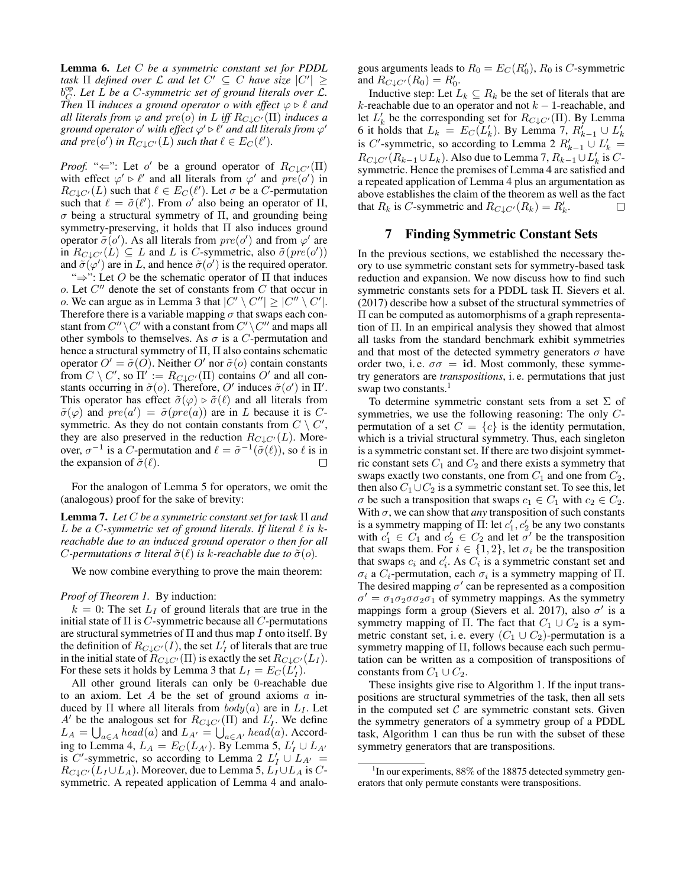Lemma 6. *Let* C *be a symmetric constant set for PDDL task*  $\Pi$  *defined over*  $\mathcal L$  *and let*  $C' \subseteq C$  *have size*  $|C'| \ge$  $b_C^{op}$ . Let  $\vec{L}$  be a C-symmetric set of ground literals over  $\vec{\mathcal{L}}$ . *Then*  $\Pi$  *induces a ground operator o with effect*  $\varphi \triangleright \ell$  *and all literals from*  $\varphi$  *and*  $pre(o)$  *in* L *iff*  $R_{C\downarrow C'}(\Pi)$  *induces a ground operator o' with effect*  $\varphi' \triangleright \ell'$  *and all literals from*  $\varphi'$ and  $pre(o')$  in  $R_{C\downarrow C'}(L)$  such that  $\ell \in E_C(\ell').$ 

*Proof.* " $\Leftarrow$ ": Let o' be a ground operator of  $R_{C\downarrow C'}(\Pi)$ with effect  $\varphi' \triangleright \ell'$  and all literals from  $\varphi'$  and  $pre(o')$  in  $R_{C\downarrow C'}(L)$  such that  $\ell \in E_C(\ell')$ . Let  $\sigma$  be a C-permutation such that  $\ell = \tilde{\sigma}(\ell')$ . From  $o'$  also being an operator of  $\Pi$ , σ being a structural symmetry of Π, and grounding being symmetry-preserving, it holds that Π also induces ground operator  $\tilde{\sigma}(o')$ . As all literals from  $pre(o')$  and from  $\varphi'$  are in  $R_{C\downarrow C'}(L) \subseteq L$  and L is C-symmetric, also  $\tilde{\sigma}(pre(o'))$ and  $\tilde{\sigma}(\varphi')$  are in L, and hence  $\tilde{\sigma}(o')$  is the required operator.

" $\Rightarrow$ ": Let O be the schematic operator of  $\Pi$  that induces  $o$ . Let  $C''$  denote the set of constants from  $C$  that occur in o. We can argue as in Lemma 3 that  $|C' \setminus C''| \ge |C'' \setminus C'|$ . Therefore there is a variable mapping  $\sigma$  that swaps each constant from  $C''\setminus C'$  with a constant from  $C'\setminus C''$  and maps all other symbols to themselves. As  $\sigma$  is a *C*-permutation and hence a structural symmetry of Π, Π also contains schematic operator  $O' = \tilde{\sigma}(O)$ . Neither O' nor  $\tilde{\sigma}(o)$  contain constants from  $C \setminus C'$ , so  $\Pi' := R_{C \downarrow C'}(\Pi)$  contains  $O'$  and all constants occurring in  $\tilde{\sigma}(o)$ . Therefore, O' induces  $\tilde{\sigma}(o')$  in  $\Pi'$ . This operator has effect  $\tilde{\sigma}(\varphi) \triangleright \tilde{\sigma}(\ell)$  and all literals from  $\tilde{\sigma}(\varphi)$  and  $pre(a') = \tilde{\sigma}(pre(a))$  are in L because it is Csymmetric. As they do not contain constants from  $C \setminus C'$ , they are also preserved in the reduction  $R_{C\downarrow C'}(L)$ . Moreover,  $\sigma^{-1}$  is a C-permutation and  $\ell = \tilde{\sigma}^{-1}(\tilde{\sigma}(\ell))$ , so  $\ell$  is in the expansion of  $\tilde{\sigma}(\ell)$ . П

For the analogon of Lemma 5 for operators, we omit the (analogous) proof for the sake of brevity:

Lemma 7. *Let* C *be a symmetric constant set for task* Π *and* L be a C-symmetric set of ground literals. If literal  $\ell$  is  $k$ *reachable due to an induced ground operator* o *then for all C*-permutations  $\sigma$  literal  $\tilde{\sigma}(\ell)$  is k-reachable due to  $\tilde{\sigma}(o)$ .

We now combine everything to prove the main theorem:

#### *Proof of Theorem 1.* By induction:

 $k = 0$ : The set  $L<sub>I</sub>$  of ground literals that are true in the initial state of  $\Pi$  is  $C$ -symmetric because all  $C$ -permutations are structural symmetries of  $\Pi$  and thus map  $I$  onto itself. By the definition of  $R_{C\downarrow C'}(I)$ , the set  $L'_I$  of literals that are true in the initial state of  $R_{C\downarrow C'}(\Pi)$  is exactly the set  $R_{C\downarrow C'}(L_I)$ . For these sets it holds by Lemma 3 that  $L_I = E_C(\dot{L}_I)$ .

All other ground literals can only be 0-reachable due to an axiom. Let  $A$  be the set of ground axioms  $a$  induced by  $\Pi$  where all literals from  $body(a)$  are in  $L_I$ . Let A' be the analogous set for  $R_{C\downarrow C'}(\Pi)$  and  $L'_I$ . We define  $L_A = \bigcup_{a \in A} head(a)$  and  $L_{A'} = \bigcup_{a \in A'} head(a)$ . According to Lemma 4,  $L_A = E_C(L_{A'})$ . By Lemma 5,  $L'_I \cup L_{A'}$ is C'-symmetric, so according to Lemma 2  $L'_I \cup L_{A'} =$  $R_{C\downarrow C'}(L_I \cup L_A)$ . Moreover, due to Lemma 5,  $L_I \cup L_A$  is Csymmetric. A repeated application of Lemma 4 and analogous arguments leads to  $R_0 = E_C(R'_0)$ ,  $R_0$  is C-symmetric and  $R_{C\downarrow C'}(R_0) = R'_0$ .

Inductive step: Let  $L_k \subseteq R_k$  be the set of literals that are  $k$ -reachable due to an operator and not  $k-1$ -reachable, and let  $L'_{k}$  be the corresponding set for  $R_{C\downarrow C'}(\Pi)$ . By Lemma 6 it holds that  $L_k = E_C(L'_k)$ . By Lemma 7,  $R'_{k-1} \cup L'_k$ is C'-symmetric, so according to Lemma 2  $R'_{k-1} \cup L'_{k} =$  $R_{C\downarrow C'}(R_{k-1}\cup L_k)$ . Also due to Lemma 7,  $R_{k-1}\cup L'_k$  is  $C$ symmetric. Hence the premises of Lemma 4 are satisfied and a repeated application of Lemma 4 plus an argumentation as above establishes the claim of the theorem as well as the fact that  $R_k$  is C-symmetric and  $R_{C\downarrow C'}(R_k) = R'_k$ . П

#### 7 Finding Symmetric Constant Sets

In the previous sections, we established the necessary theory to use symmetric constant sets for symmetry-based task reduction and expansion. We now discuss how to find such symmetric constants sets for a PDDL task Π. Sievers et al. (2017) describe how a subset of the structural symmetries of Π can be computed as automorphisms of a graph representation of Π. In an empirical analysis they showed that almost all tasks from the standard benchmark exhibit symmetries and that most of the detected symmetry generators  $\sigma$  have order two, i.e.  $\sigma \sigma = id$ . Most commonly, these symmetry generators are *transpositions*, i. e. permutations that just swap two constants.<sup>1</sup>

To determine symmetric constant sets from a set  $\Sigma$  of symmetries, we use the following reasoning: The only Cpermutation of a set  $C = \{c\}$  is the identity permutation, which is a trivial structural symmetry. Thus, each singleton is a symmetric constant set. If there are two disjoint symmetric constant sets  $C_1$  and  $C_2$  and there exists a symmetry that swaps exactly two constants, one from  $C_1$  and one from  $C_2$ , then also  $C_1 \cup C_2$  is a symmetric constant set. To see this, let  $\sigma$  be such a transposition that swaps  $c_1 \in C_1$  with  $c_2 \in C_2$ . With  $\sigma$ , we can show that *any* transposition of such constants is a symmetry mapping of  $\Pi$ : let  $c_1^{\dagger}$ ,  $c_2^{\dagger}$  be any two constants with  $c'_1 \in C_1$  and  $c'_2 \in C_2$  and let  $\sigma'$  be the transposition that swaps them. For  $i \in \{1, 2\}$ , let  $\sigma_i$  be the transposition that swaps  $c_i$  and  $c'_i$ . As  $\overrightarrow{C}_i$  is a symmetric constant set and  $\sigma_i$  a  $C_i$ -permutation, each  $\sigma_i$  is a symmetry mapping of  $\Pi$ . The desired mapping  $\sigma'$  can be represented as a composition  $\sigma' = \sigma_1 \sigma_2 \sigma \sigma_2 \sigma_1$  of symmetry mappings. As the symmetry mappings form a group (Sievers et al. 2017), also  $\sigma'$  is a symmetry mapping of  $\Pi$ . The fact that  $C_1 \cup C_2$  is a symmetric constant set, i.e. every  $(C_1 \cup C_2)$ -permutation is a symmetry mapping of Π, follows because each such permutation can be written as a composition of transpositions of constants from  $C_1 \cup C_2$ .

These insights give rise to Algorithm 1. If the input transpositions are structural symmetries of the task, then all sets in the computed set  $C$  are symmetric constant sets. Given the symmetry generators of a symmetry group of a PDDL task, Algorithm 1 can thus be run with the subset of these symmetry generators that are transpositions.

<sup>&</sup>lt;sup>1</sup>In our experiments, 88% of the 18875 detected symmetry generators that only permute constants were transpositions.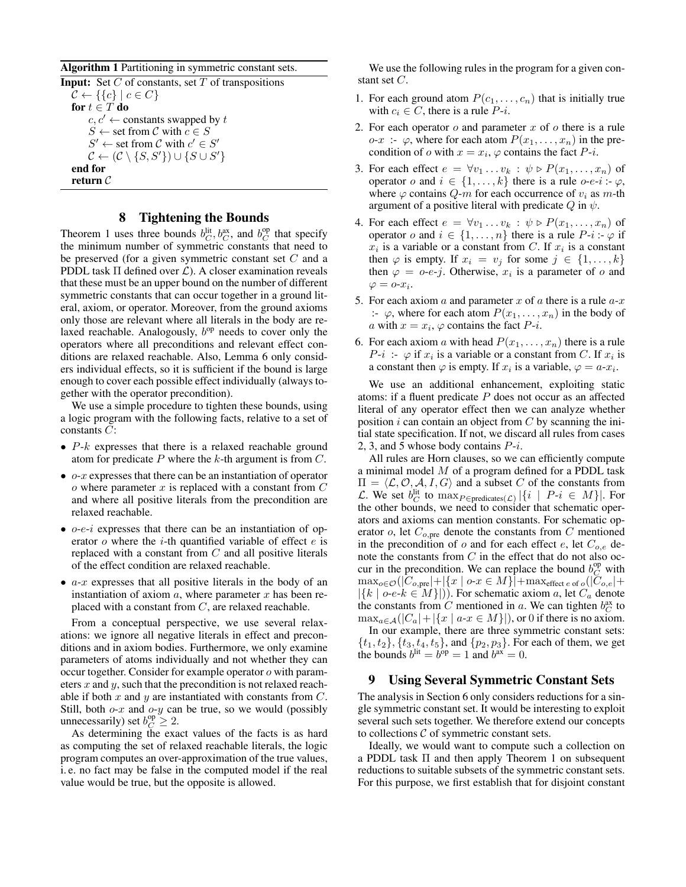Algorithm 1 Partitioning in symmetric constant sets.

**Input:** Set  $C$  of constants, set  $T$  of transpositions  $\mathcal{C} \leftarrow \{\{c\} \mid c \in C\}$ for  $t \in T$  do  $c, c' \leftarrow$  constants swapped by t  $S \leftarrow$  set from C with  $c \in S$  $S' \leftarrow$  set from C with  $c' \in S'$  $\mathcal{C} \leftarrow (\mathcal{C} \setminus \{S, S'\}) \cup \{S \cup S'\}$ end for return C

#### 8 Tightening the Bounds

Theorem 1 uses three bounds  $b_C^{\text{lit}}, b_C^{\text{ax}}$ , and  $b_C^{\text{op}}$  that specify the minimum number of symmetric constants that need to be preserved (for a given symmetric constant set  $C$  and a PDDL task  $\Pi$  defined over  $\mathcal{L}$ ). A closer examination reveals that these must be an upper bound on the number of different symmetric constants that can occur together in a ground literal, axiom, or operator. Moreover, from the ground axioms only those are relevant where all literals in the body are relaxed reachable. Analogously,  $b^{op}$  needs to cover only the operators where all preconditions and relevant effect conditions are relaxed reachable. Also, Lemma 6 only considers individual effects, so it is sufficient if the bound is large enough to cover each possible effect individually (always together with the operator precondition).

We use a simple procedure to tighten these bounds, using a logic program with the following facts, relative to a set of constants  $C$ :

- $P-k$  expresses that there is a relaxed reachable ground atom for predicate  $P$  where the  $k$ -th argument is from  $C$ .
- $o-x$  expresses that there can be an instantiation of operator  $o$  where parameter  $x$  is replaced with a constant from  $C$ and where all positive literals from the precondition are relaxed reachable.
- $\bullet$  *o-e-i* expresses that there can be an instantiation of operator  $o$  where the *i*-th quantified variable of effect  $e$  is replaced with a constant from  $C$  and all positive literals of the effect condition are relaxed reachable.
- $a-x$  expresses that all positive literals in the body of an instantiation of axiom  $a$ , where parameter  $x$  has been replaced with a constant from  $C$ , are relaxed reachable.

From a conceptual perspective, we use several relaxations: we ignore all negative literals in effect and preconditions and in axiom bodies. Furthermore, we only examine parameters of atoms individually and not whether they can occur together. Consider for example operator o with parameters  $x$  and  $y$ , such that the precondition is not relaxed reachable if both  $x$  and  $y$  are instantiated with constants from  $C$ . Still, both  $o-x$  and  $o-y$  can be true, so we would (possibly unnecessarily) set  $b_C^{op} \geq 2$ .

As determining the exact values of the facts is as hard as computing the set of relaxed reachable literals, the logic program computes an over-approximation of the true values, i. e. no fact may be false in the computed model if the real value would be true, but the opposite is allowed.

We use the following rules in the program for a given constant set C.

- 1. For each ground atom  $P(c_1, \ldots, c_n)$  that is initially true with  $c_i \in C$ , there is a rule  $P-i$ .
- 2. For each operator  $o$  and parameter  $x$  of  $o$  there is a rule  $o-x$ :  $\varphi$ , where for each atom  $P(x_1, \ldots, x_n)$  in the precondition of  $o$  with  $x = x_i$ ,  $\varphi$  contains the fact  $P-i$ .
- 3. For each effect  $e = \forall v_1 \dots v_k : \psi \triangleright P(x_1, \dots, x_n)$  of operator o and  $i \in \{1, \ldots, k\}$  there is a rule o-e-i :-  $\varphi$ , where  $\varphi$  contains  $Q-m$  for each occurrence of  $v_i$  as m-th argument of a positive literal with predicate  $Q$  in  $\psi$ .
- 4. For each effect  $e = \forall v_1 \dots v_k : \psi \triangleright P(x_1, \dots, x_n)$  of operator o and  $i \in \{1, \ldots, n\}$  there is a rule  $P-i : \varphi$  if  $x_i$  is a variable or a constant from C. If  $x_i$  is a constant then  $\varphi$  is empty. If  $x_i = v_j$  for some  $j \in \{1, \ldots, k\}$ then  $\varphi = o \cdot e \cdot j$ . Otherwise,  $x_i$  is a parameter of o and  $\varphi = o-x_i.$
- 5. For each axiom a and parameter x of a there is a rule  $a-x$ :-  $\varphi$ , where for each atom  $P(x_1, \ldots, x_n)$  in the body of a with  $x = x_i$ ,  $\varphi$  contains the fact  $P$ -*i*.
- 6. For each axiom a with head  $P(x_1, \ldots, x_n)$  there is a rule  $P-i$ :  $\varphi$  if  $x_i$  is a variable or a constant from C. If  $x_i$  is a constant then  $\varphi$  is empty. If  $x_i$  is a variable,  $\varphi = a-x_i$ .

We use an additional enhancement, exploiting static atoms: if a fluent predicate  $P$  does not occur as an affected literal of any operator effect then we can analyze whether position  $i$  can contain an object from  $C$  by scanning the initial state specification. If not, we discard all rules from cases 2, 3, and 5 whose body contains  $P_{i}$ .

All rules are Horn clauses, so we can efficiently compute a minimal model  $M$  of a program defined for a PDDL task  $\Pi = \langle \mathcal{L}, \mathcal{O}, \mathcal{A}, I, G \rangle$  and a subset C of the constants from L. We set  $b_C^{\text{lit}}$  to  $\max_{P \in \text{predicates}(\mathcal{L})} |\{i \mid P-i \in M\}|$ . For the other bounds, we need to consider that schematic operators and axioms can mention constants. For schematic operator  $o$ , let  $C_{o,pre}$  denote the constants from C mentioned in the precondition of  $o$  and for each effect  $e$ , let  $C_{o,e}$  denote the constants from C in the effect that do not also occur in the precondition. We can replace the bound  $b_C^{\text{op}}$  with  $\max_{o \in \mathcal{O}}(|C_{o,\text{pre}}|+|\{x \mid o\text{-}x \in M\}|+\max_{\text{effect } e \text{ of } o}(|C_{o,e}|+$  $|\{k \mid o\text{-}e\text{-}k \in M\}|$ ). For schematic axiom a, let  $C_a$  denote the constants from C mentioned in a. We can tighten  $b_C^{\text{ax}}$  to  $\max_{a \in \mathcal{A}}(|C_a|+|\{x \mid a\text{-}x \in M\}|)$ , or 0 if there is no axiom.

In our example, there are three symmetric constant sets:  $\{t_1, t_2\}, \{t_3, t_4, t_5\},$  and  $\{p_2, p_3\}$ . For each of them, we get the bounds  $b^{\text{lit}} = b^{\text{op}} = 1$  and  $b^{\text{ax}} = 0$ .

### 9 Using Several Symmetric Constant Sets

The analysis in Section 6 only considers reductions for a single symmetric constant set. It would be interesting to exploit several such sets together. We therefore extend our concepts to collections  $C$  of symmetric constant sets.

Ideally, we would want to compute such a collection on a PDDL task Π and then apply Theorem 1 on subsequent reductions to suitable subsets of the symmetric constant sets. For this purpose, we first establish that for disjoint constant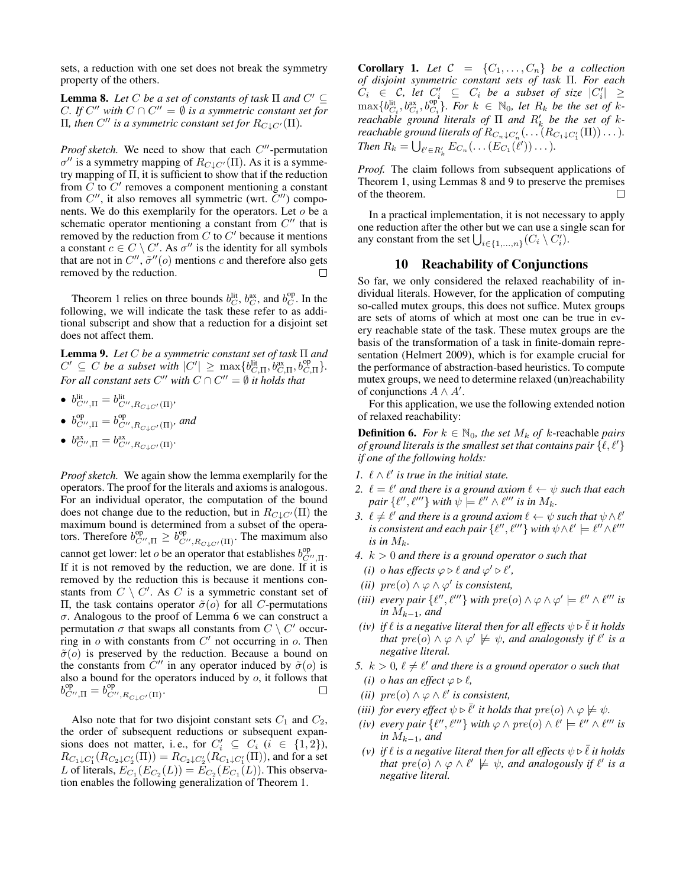sets, a reduction with one set does not break the symmetry property of the others.

**Lemma 8.** Let C be a set of constants of task  $\Pi$  and  $C' \subseteq$ C. If  $C''$  with  $C \cap C'' = \emptyset$  is a symmetric constant set for  $\Pi$ , then  $C''$  is a symmetric constant set for  $R_{C\downarrow C'}(\Pi)$ .

*Proof sketch*. We need to show that each  $C''$ -permutation  $\sigma''$  is a symmetry mapping of  $R_{C\downarrow C'}(\Pi)$ . As it is a symmetry mapping of  $\Pi$ , it is sufficient to show that if the reduction from  $\overline{C}$  to  $\overline{C}'$  removes a component mentioning a constant from  $C''$ , it also removes all symmetric (wrt.  $C''$ ) components. We do this exemplarily for the operators. Let  $o$  be a schematic operator mentioning a constant from  $C''$  that is removed by the reduction from  $C$  to  $C'$  because it mentions a constant  $c \in C \setminus C'$ . As  $\sigma''$  is the identity for all symbols that are not in  $C''$ ,  $\tilde{\sigma}''(o)$  mentions c and therefore also gets removed by the reduction.

Theorem 1 relies on three bounds  $b_C^{\text{lit}}, b_C^{\text{ax}},$  and  $b_C^{\text{op}}$ . In the following, we will indicate the task these refer to as additional subscript and show that a reduction for a disjoint set does not affect them.

Lemma 9. *Let* C *be a symmetric constant set of task* Π *and*  $C' \subseteq C$  *be a subset with*  $|C'| \ge \max\{b_{C,\Pi}^{\text{lit}}, b_{C,\Pi}^{\text{ax}}, b_{C,\Pi}^{\text{op}}\}.$ *For all constant sets*  $C''$  *with*  $C \cap C'' = \emptyset$  *it holds that* 

- $b_{C'',\Pi}^{\text{lit}} = b_{C'',R_{C\downarrow C'}(\Pi)}^{\text{lit}}$
- $b_{C'',\Pi}^{\text{op}} = b_{C'',R_{C\downarrow C'}(\Pi)}^{\text{op}},$  and
- $b_{C'',\Pi}^{\text{ax}} = b_{C'',R_{C\downarrow C'}(\Pi)}^{\text{ax}}.$

*Proof sketch.* We again show the lemma exemplarily for the operators. The proof for the literals and axioms is analogous. For an individual operator, the computation of the bound does not change due to the reduction, but in  $R_{C\downarrow C'}(\Pi)$  the maximum bound is determined from a subset of the operators. Therefore  $b^{\text{op}}_{C'',\Pi} \geq b^{\text{op}}_{C'',R_{C\downarrow C'}(\Pi)}$ . The maximum also cannot get lower: let *o* be an operator that establishes  $b_{C'',\Pi}^{op}$ . If it is not removed by the reduction, we are done. If it is removed by the reduction this is because it mentions constants from  $C \setminus C'$ . As C is a symmetric constant set of Π, the task contains operator  $\tilde{\sigma}(o)$  for all *C*-permutations σ. Analogous to the proof of Lemma 6 we can construct a permutation  $\sigma$  that swaps all constants from  $C \setminus C'$  occurring in  $o$  with constants from  $C'$  not occurring in  $o$ . Then  $\tilde{\sigma}(o)$  is preserved by the reduction. Because a bound on the constants from  $C''$  in any operator induced by  $\tilde{\sigma}(o)$  is also a bound for the operators induced by  $o$ , it follows that  $b_{C'',\Pi}^{\text{op}} = b_{C'',R_{C\downarrow C'}(\Pi)}^{\text{op}}.$  $\Box$ 

Also note that for two disjoint constant sets  $C_1$  and  $C_2$ , the order of subsequent reductions or subsequent expansions does not matter, i.e., for  $C_i' \subseteq C_i$   $(i \in \{1,2\})$ ,  $R_{C_1\downarrow C'_1}(R_{C_2\downarrow C'_2}(\Pi))=R_{C_2\downarrow C'_2}(R_{C_1\downarrow C'_1}(\Pi)),$  and for a set L of literals,  $E_{C_1}(E_{C_2}(L)) = E_{C_2}(E_{C_1}(L))$ . This observation enables the following generalization of Theorem 1.

**Corollary 1.** Let  $C = \{C_1, \ldots, C_n\}$  be a collection *of disjoint symmetric constant sets of task* Π*. For each*  $C_i \in \mathcal{C}$ , let  $C'_i \subseteq C_i$  be a subset of size  $|C'_i| \ge$  $\max\{b_{C_i}^{\text{lit}},b_{C_i}^{\text{ax}},b_{C_i}^{\text{op}}\}$ *. For*  $k \in \mathbb{N}_0$ *, let*  $R_k$  *be the set of*  $k$ *reachable ground literals of*  $\Pi$  *and*  $R'_k$  *be the set of*  $k$ *reachable ground literals of*  $R_{C_n\downarrow C'_n}(\ldots(R_{C_1\downarrow C'_1}(\Pi))\ldots)$ . *Then*  $R_k = \bigcup_{\ell' \in R'_k} E_{C_n}(\ldots(E_{C_1}(\ell')) \ldots).$ 

*Proof.* The claim follows from subsequent applications of Theorem 1, using Lemmas 8 and 9 to preserve the premises of the theorem. П

In a practical implementation, it is not necessary to apply one reduction after the other but we can use a single scan for any constant from the set  $\bigcup_{i \in \{1,...,n\}} (C_i \setminus C'_i)$ .

#### 10 Reachability of Conjunctions

So far, we only considered the relaxed reachability of individual literals. However, for the application of computing so-called mutex groups, this does not suffice. Mutex groups are sets of atoms of which at most one can be true in every reachable state of the task. These mutex groups are the basis of the transformation of a task in finite-domain representation (Helmert 2009), which is for example crucial for the performance of abstraction-based heuristics. To compute mutex groups, we need to determine relaxed (un)reachability of conjunctions  $A \wedge A'$ .

For this application, we use the following extended notion of relaxed reachability:

**Definition 6.** *For*  $k \in \mathbb{N}_0$ *, the set*  $M_k$  *of*  $k$ -reachable *pairs of ground literals is the smallest set that contains pair*  $\{ \ell, \ell' \}$ *if one of the following holds:*

- *1.*  $\ell \wedge \ell'$  is true in the initial state.
- 2.  $\ell = \ell'$  *and there is a ground axiom*  $\ell \leftarrow \psi$  *such that each pair*  $\{\ell'', \ell'''\}$  *with*  $\psi \models \ell'' \wedge \ell'''$  *is in*  $M_k$ *.*
- *3.*  $\ell \neq \ell'$  and there is a ground axiom  $\ell \leftarrow \psi$  such that  $\psi \wedge \ell'$ is consistent and each pair  $\{ \ell'', \ell''' \}$  with  $\psi \! \wedge \! \ell' \models \ell'' \! \wedge \! \ell'''$ *is in*  $M_k$ .
- *4.* k > 0 *and there is a ground operator* o *such that*
- *(i) o* has effects  $\varphi \triangleright \ell$  and  $\varphi' \triangleright \ell'$ ,
- (*ii*)  $pre(o) \land \varphi \land \varphi'$  *is consistent,*
- *(iii) every pair*  $\{ \ell'', \ell''' \}$  *with*  $pre(o) \wedge \varphi \wedge \varphi' \models \ell'' \wedge \ell'''$  *is in*  $M_{k-1}$ *, and*
- *(iv) if*  $\ell$  *is a negative literal then for all effects*  $\psi \triangleright \overline{\ell}$  *it holds that*  $pre(o) \land \varphi \land \varphi' \not\models \psi$ , and analogously if  $\ell'$  is a *negative literal.*
- 5.  $k > 0$ ,  $\ell \neq \ell'$  and there is a ground operator o such that *(i) o has an effect*  $\varphi \triangleright \ell$ ,
- *(ii)*  $pre(o) \land \varphi \land \ell'$  *is consistent,*
- *(iii) for every effect*  $\psi \triangleright \overline{\ell}'$  *it holds that*  $pre(o) \wedge \varphi \not\models \psi$ .
- *(iv) every pair*  $\{ \ell'', \ell''' \}$  *with*  $\varphi \wedge pre(o) \wedge \ell' \models \ell'' \wedge \ell'''$  *is in*  $M_{k-1}$ *, and*
- *(v) if*  $\ell$  *is a negative literal then for all effects*  $\psi \triangleright \overline{\ell}$  *it holds that*  $pre(o) \wedge \varphi \wedge \ell' \not\models \psi$ , and analogously if  $\ell'$  is a *negative literal.*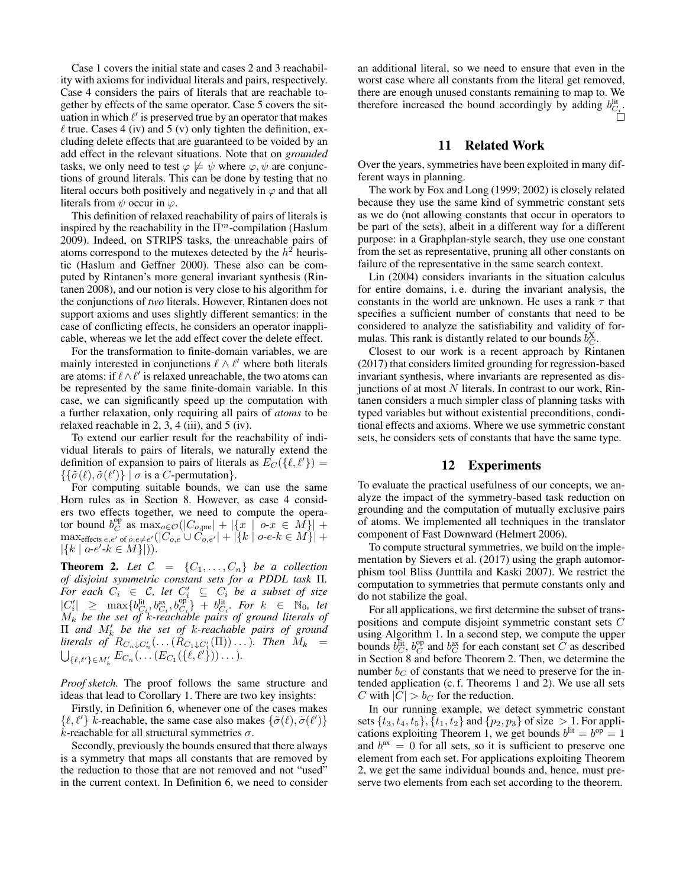Case 1 covers the initial state and cases 2 and 3 reachability with axioms for individual literals and pairs, respectively. Case 4 considers the pairs of literals that are reachable together by effects of the same operator. Case 5 covers the situation in which  $\ell'$  is preserved true by an operator that makes  $\ell$  true. Cases 4 (iv) and 5 (v) only tighten the definition, excluding delete effects that are guaranteed to be voided by an add effect in the relevant situations. Note that on *grounded* tasks, we only need to test  $\varphi \not\models \psi$  where  $\varphi, \psi$  are conjunctions of ground literals. This can be done by testing that no literal occurs both positively and negatively in  $\varphi$  and that all literals from  $\psi$  occur in  $\varphi$ .

This definition of relaxed reachability of pairs of literals is inspired by the reachability in the  $\Pi^m$ -compilation (Haslum 2009). Indeed, on STRIPS tasks, the unreachable pairs of atoms correspond to the mutexes detected by the  $h^2$  heuristic (Haslum and Geffner 2000). These also can be computed by Rintanen's more general invariant synthesis (Rintanen 2008), and our notion is very close to his algorithm for the conjunctions of *two* literals. However, Rintanen does not support axioms and uses slightly different semantics: in the case of conflicting effects, he considers an operator inapplicable, whereas we let the add effect cover the delete effect.

For the transformation to finite-domain variables, we are mainly interested in conjunctions  $\ell \wedge \ell'$  where both literals are atoms: if  $\ell \wedge \ell'$  is relaxed unreachable, the two atoms can be represented by the same finite-domain variable. In this case, we can significantly speed up the computation with a further relaxation, only requiring all pairs of *atoms* to be relaxed reachable in 2, 3, 4 (iii), and 5 (iv).

To extend our earlier result for the reachability of individual literals to pairs of literals, we naturally extend the definition of expansion to pairs of literals as  $E_C({\{\ell,\ell'\}}) =$  $\{\{\tilde{\sigma}(\ell), \tilde{\sigma}(\ell')\} \mid \sigma \text{ is a } C\text{-permutation}\}.$ 

For computing suitable bounds, we can use the same Horn rules as in Section 8. However, as case 4 considers two effects together, we need to compute the operator bound  $b_C^{\text{op}}$  as  $\max_{o \in \mathcal{O}}(|C_{o,\text{pre}}| + |\{x \mid o\text{-}x \in M\}| +$  $\max_{\text{effects }e,e' \text{ of } o:e\neq e'}(|C_{o,e}\cup C_{o,e'}|+|\{k\mid o\text{-}e\text{-}k\in M\}|+$  $|\{k \mid o-e' - k \in M\}|).$ 

**Theorem 2.** Let  $C = \{C_1, \ldots, C_n\}$  be a collection *of disjoint symmetric constant sets for a PDDL task* Π*.*  $\overline{F}$ *or each*  $C_i \in \mathcal{C}$ , let  $C'_i \subseteq C_i$  be a subset of size  $|C'_i| \geq \max\{b^{\text{lit}}_{C_i}, b^{\text{ax}}_{C_i}, b^{\text{op}}_{C_i}\} + b^{\text{lit}}_{C_i}.$  For  $k \in \mathbb{N}_0$ , let M<sup>k</sup> *be the set of* k*-reachable pairs of ground literals of* Π *and* M<sup>0</sup> k *be the set of* k*-reachable pairs of ground*  $\textit{literals of } R_{C_n \downarrow C'_n}(\ldots(R_{C_1 \downarrow C'_1}(\Pi)) \ldots).$  Then  $M_k =$  $\bigcup_{\{\ell,\ell'\}\in M'_k} E_{C_n}(\ldots(E_{C_1}(\{\ell,\ell'\})\ldots).$ 

*Proof sketch.* The proof follows the same structure and ideas that lead to Corollary 1. There are two key insights:

Firstly, in Definition 6, whenever one of the cases makes  $\{\ell, \ell'\}\$  k-reachable, the same case also makes  $\{\tilde{\sigma}(\ell), \tilde{\sigma}(\ell')\}$ k-reachable for all structural symmetries  $\sigma$ .

Secondly, previously the bounds ensured that there always is a symmetry that maps all constants that are removed by the reduction to those that are not removed and not "used" in the current context. In Definition 6, we need to consider an additional literal, so we need to ensure that even in the worst case where all constants from the literal get removed, there are enough unused constants remaining to map to. We therefore increased the bound accordingly by adding  $b_{C_i}^{\text{lit}}$ .

### 11 Related Work

Over the years, symmetries have been exploited in many different ways in planning.

The work by Fox and Long (1999; 2002) is closely related because they use the same kind of symmetric constant sets as we do (not allowing constants that occur in operators to be part of the sets), albeit in a different way for a different purpose: in a Graphplan-style search, they use one constant from the set as representative, pruning all other constants on failure of the representative in the same search context.

Lin (2004) considers invariants in the situation calculus for entire domains, i. e. during the invariant analysis, the constants in the world are unknown. He uses a rank  $\tau$  that specifies a sufficient number of constants that need to be considered to analyze the satisfiability and validity of formulas. This rank is distantly related to our bounds  $b_C^X$ .

Closest to our work is a recent approach by Rintanen (2017) that considers limited grounding for regression-based invariant synthesis, where invariants are represented as disjunctions of at most  $N$  literals. In contrast to our work, Rintanen considers a much simpler class of planning tasks with typed variables but without existential preconditions, conditional effects and axioms. Where we use symmetric constant sets, he considers sets of constants that have the same type.

#### 12 Experiments

To evaluate the practical usefulness of our concepts, we analyze the impact of the symmetry-based task reduction on grounding and the computation of mutually exclusive pairs of atoms. We implemented all techniques in the translator component of Fast Downward (Helmert 2006).

To compute structural symmetries, we build on the implementation by Sievers et al. (2017) using the graph automorphism tool Bliss (Junttila and Kaski 2007). We restrict the computation to symmetries that permute constants only and do not stabilize the goal.

For all applications, we first determine the subset of transpositions and compute disjoint symmetric constant sets C using Algorithm 1. In a second step, we compute the upper bounds  $b_C^{\text{lit}}, b_C^{\text{op}}$  and  $b_C^{\text{ax}}$  for each constant set C as described in Section 8 and before Theorem 2. Then, we determine the number  $b<sub>C</sub>$  of constants that we need to preserve for the intended application (c. f. Theorems 1 and 2). We use all sets C with  $|C| > b_C$  for the reduction.

In our running example, we detect symmetric constant sets  $\{t_3, t_4, t_5\}, \{t_1, t_2\}$  and  $\{p_2, p_3\}$  of size  $> 1$ . For applications exploiting Theorem 1, we get bounds  $b^{lit} = b^{op} = 1$ and  $b^{ax} = 0$  for all sets, so it is sufficient to preserve one element from each set. For applications exploiting Theorem 2, we get the same individual bounds and, hence, must preserve two elements from each set according to the theorem.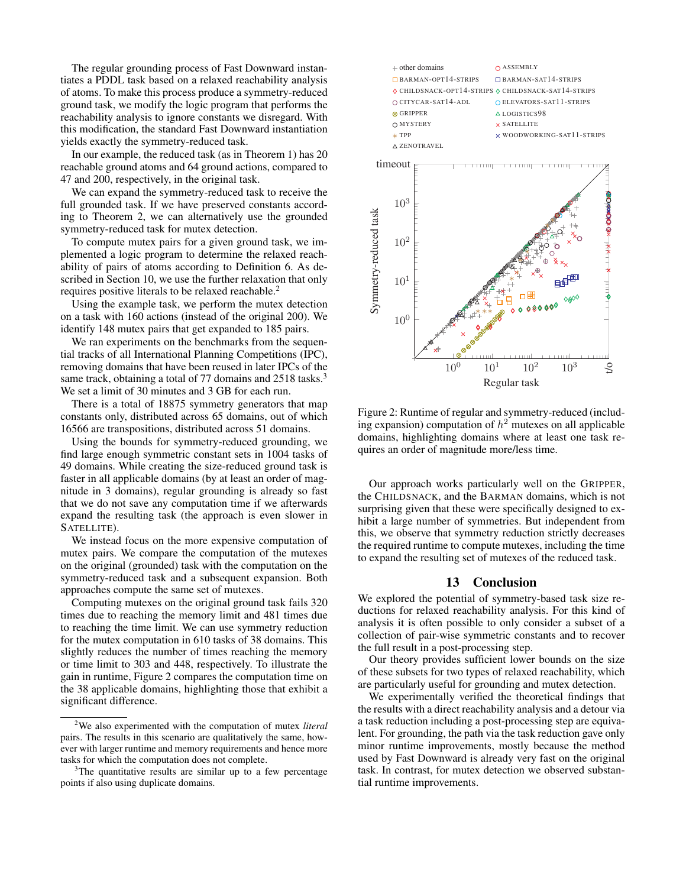The regular grounding process of Fast Downward instantiates a PDDL task based on a relaxed reachability analysis of atoms. To make this process produce a symmetry-reduced ground task, we modify the logic program that performs the reachability analysis to ignore constants we disregard. With this modification, the standard Fast Downward instantiation yields exactly the symmetry-reduced task.

In our example, the reduced task (as in Theorem 1) has 20 reachable ground atoms and 64 ground actions, compared to 47 and 200, respectively, in the original task.

We can expand the symmetry-reduced task to receive the full grounded task. If we have preserved constants according to Theorem 2, we can alternatively use the grounded symmetry-reduced task for mutex detection.

To compute mutex pairs for a given ground task, we implemented a logic program to determine the relaxed reachability of pairs of atoms according to Definition 6. As described in Section 10, we use the further relaxation that only requires positive literals to be relaxed reachable.<sup>2</sup>

Using the example task, we perform the mutex detection on a task with 160 actions (instead of the original 200). We identify 148 mutex pairs that get expanded to 185 pairs.

We ran experiments on the benchmarks from the sequential tracks of all International Planning Competitions (IPC), removing domains that have been reused in later IPCs of the same track, obtaining a total of 77 domains and 2518 tasks.<sup>3</sup> We set a limit of 30 minutes and 3 GB for each run.

There is a total of 18875 symmetry generators that map constants only, distributed across 65 domains, out of which 16566 are transpositions, distributed across 51 domains.

Using the bounds for symmetry-reduced grounding, we find large enough symmetric constant sets in 1004 tasks of 49 domains. While creating the size-reduced ground task is faster in all applicable domains (by at least an order of magnitude in 3 domains), regular grounding is already so fast that we do not save any computation time if we afterwards expand the resulting task (the approach is even slower in SATELLITE).

We instead focus on the more expensive computation of mutex pairs. We compare the computation of the mutexes on the original (grounded) task with the computation on the symmetry-reduced task and a subsequent expansion. Both approaches compute the same set of mutexes.

Computing mutexes on the original ground task fails 320 times due to reaching the memory limit and 481 times due to reaching the time limit. We can use symmetry reduction for the mutex computation in 610 tasks of 38 domains. This slightly reduces the number of times reaching the memory or time limit to 303 and 448, respectively. To illustrate the gain in runtime, Figure 2 compares the computation time on the 38 applicable domains, highlighting those that exhibit a significant difference.



Figure 2: Runtime of regular and symmetry-reduced (including expansion) computation of  $h^2$  mutexes on all applicable domains, highlighting domains where at least one task requires an order of magnitude more/less time.

Our approach works particularly well on the GRIPPER, the CHILDSNACK, and the BARMAN domains, which is not surprising given that these were specifically designed to exhibit a large number of symmetries. But independent from this, we observe that symmetry reduction strictly decreases the required runtime to compute mutexes, including the time to expand the resulting set of mutexes of the reduced task.

#### 13 Conclusion

We explored the potential of symmetry-based task size reductions for relaxed reachability analysis. For this kind of analysis it is often possible to only consider a subset of a collection of pair-wise symmetric constants and to recover the full result in a post-processing step.

Our theory provides sufficient lower bounds on the size of these subsets for two types of relaxed reachability, which are particularly useful for grounding and mutex detection.

We experimentally verified the theoretical findings that the results with a direct reachability analysis and a detour via a task reduction including a post-processing step are equivalent. For grounding, the path via the task reduction gave only minor runtime improvements, mostly because the method used by Fast Downward is already very fast on the original task. In contrast, for mutex detection we observed substantial runtime improvements.

<sup>2</sup>We also experimented with the computation of mutex *literal* pairs. The results in this scenario are qualitatively the same, however with larger runtime and memory requirements and hence more tasks for which the computation does not complete.

<sup>&</sup>lt;sup>3</sup>The quantitative results are similar up to a few percentage points if also using duplicate domains.